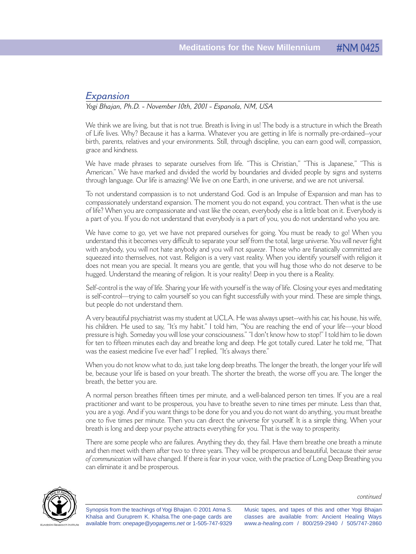## *Expansion*

## *Yogi Bhajan, Ph.D. - November 10th, 2001 - Espanola, NM, USA*

We think we are living, but that is not true. Breath is living in us! The body is a structure in which the Breath of Life lives. Why? Because it has a karma. Whatever you are getting in life is normally pre-ordained--your birth, parents, relatives and your environments. Still, through discipline, you can earn good will, compassion, grace and kindness.

We have made phrases to separate ourselves from life. "This is Christian," "This is Japanese," "This is American." We have marked and divided the world by boundaries and divided people by signs and systems through language. Our life is amazing! We live on one Earth, in one universe, and we are not universal.

To not understand compassion is to not understand God. God is an Impulse of Expansion and man has to compassionately understand expansion. The moment you do not expand, you contract. Then what is the use of life? When you are compassionate and vast like the ocean, everybody else is a little boat on it. Everybody is a part of you. If you do not understand that everybody is a part of you, you do not understand who you are.

We have come to go, yet we have not prepared ourselves for going. You must be ready to go! When you understand this it becomes very difficult to separate your self from the total, large universe. You will never fight with anybody, you will not hate anybody and you will not *squeeze*. Those who are fanatically committed are squeezed into themselves, not vast. Religion is a very vast reality. When you identify yourself with religion it does not mean you are special. It means you are gentle, that you will hug those who do not deserve to be hugged. Understand the meaning of religion. It is your reality! Deep in you there is a Reality.

Self-control is the way of life. Sharing your life with yourself is the way of life. Closing your eyes and meditating is self-control—trying to calm yourself so you can fight successfully with your mind. These are simple things, but people do not understand them.

A very beautiful psychiatrist was my student at UCLA. He was always upset--with his car, his house, his wife, his children. He used to say, "It's my habit." I told him, "You are reaching the end of your life—your blood pressure is high. Someday you will lose your consciousness.""I don't know how to stop!" I told him to lie down for ten to fifteen minutes each day and breathe long and deep. He got totally cured. Later he told me, "That was the easiest medicine I've ever had!" I replied, "It's always there."

When you do not know what to do, just take long deep breaths. The longer the breath, the longer your life will be, because your life is based on your breath. The shorter the breath, the worse off you are. The longer the breath, the better you are.

A normal person breathes fifteen times per minute, and a well-balanced person ten times. If you are a real practitioner and want to be prosperous, you have to breathe seven to nine times per minute. Less than that, you are a yogi. And if you want things to be done for you and you do not want do anything, you must breathe one to five times per minute. Then you can direct the universe for yourself. It is a simple thing. When your breath is long and deep your psyche attracts everything for you. That is the way to prosperity.

There are some people who are failures. Anything they do, they fail. Have them breathe one breath a minute and then meet with them after two to three years. They will be prosperous and beautiful, because their *sense of communication* will have changed. If there is fear in your voice, with the practice of Long Deep Breathing you can eliminate it and be prosperous.